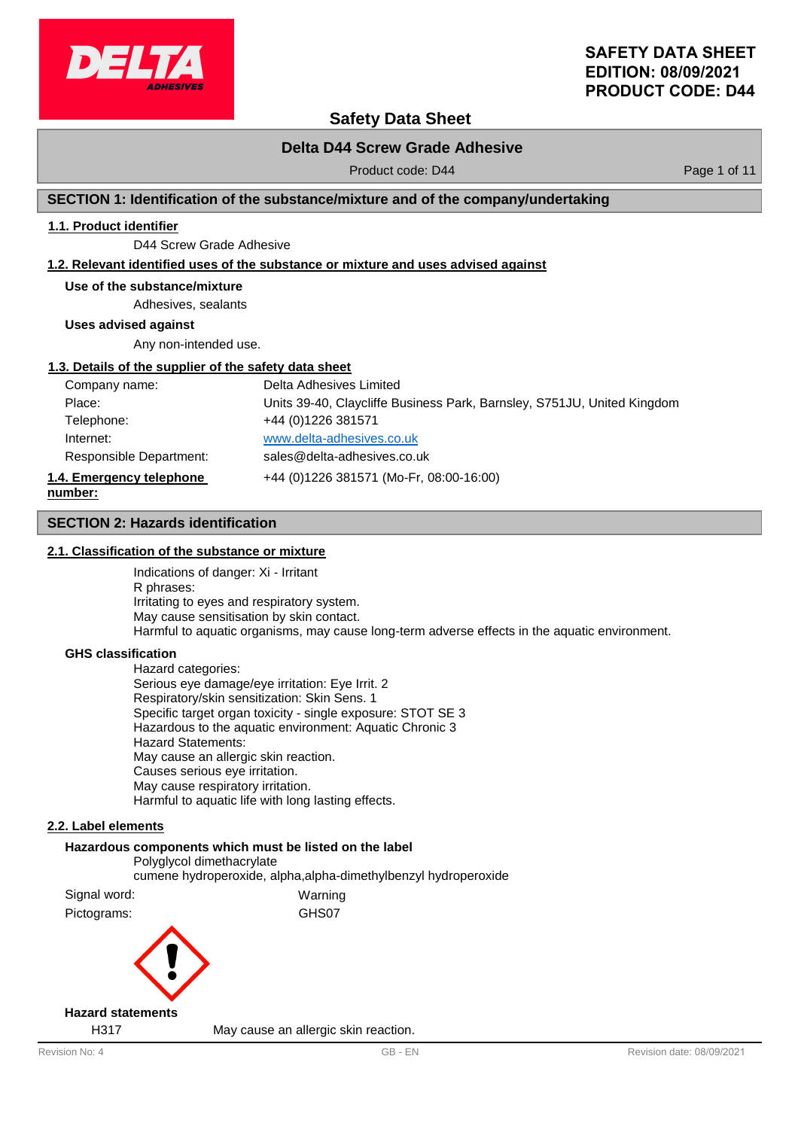

# **Safety Data Sheet**

### **Delta D44 Screw Grade Adhesive**

Product code: D44 Product code: D44 Page 1 of 11

### **SECTION 1: Identification of the substance/mixture and of the company/undertaking**

### **1.1. Product identifier**

D44 Screw Grade Adhesive

### **1.2. Relevant identified uses of the substance or mixture and uses advised against**

#### **Use of the substance/mixture**

Adhesives, sealants

**Uses advised against**

Any non-intended use.

#### **1.3. Details of the supplier of the safety data sheet**

| Company name:            | Delta Adhesives Limited                                                 |
|--------------------------|-------------------------------------------------------------------------|
| Place:                   | Units 39-40, Claycliffe Business Park, Barnsley, S751JU, United Kingdom |
| Telephone:               | +44 (0) 1226 381571                                                     |
| Internet:                | www.delta-adhesives.co.uk                                               |
| Responsible Department:  | sales@delta-adhesives.co.uk                                             |
| 1.4. Emergency telephone | +44 (0)1226 381571 (Mo-Fr, 08:00-16:00)                                 |
| number:                  |                                                                         |

#### **SECTION 2: Hazards identification**

#### **2.1. Classification of the substance or mixture**

Indications of danger: Xi - Irritant R phrases: Irritating to eyes and respiratory system. May cause sensitisation by skin contact. Harmful to aquatic organisms, may cause long-term adverse effects in the aquatic environment.

#### **GHS classification**

Hazard categories: Serious eye damage/eye irritation: Eye Irrit. 2 Respiratory/skin sensitization: Skin Sens. 1 Specific target organ toxicity - single exposure: STOT SE 3 Hazardous to the aquatic environment: Aquatic Chronic 3 Hazard Statements: May cause an allergic skin reaction. Causes serious eye irritation. May cause respiratory irritation. Harmful to aquatic life with long lasting effects.

### **2.2. Label elements**

# **Hazardous components which must be listed on the label** Polyglycol dimethacrylate cumene hydroperoxide, alpha,alpha-dimethylbenzyl hydroperoxide Signal word: Warning Pictograms: GHS07

#### **Hazard statements**

H317 May cause an allergic skin reaction.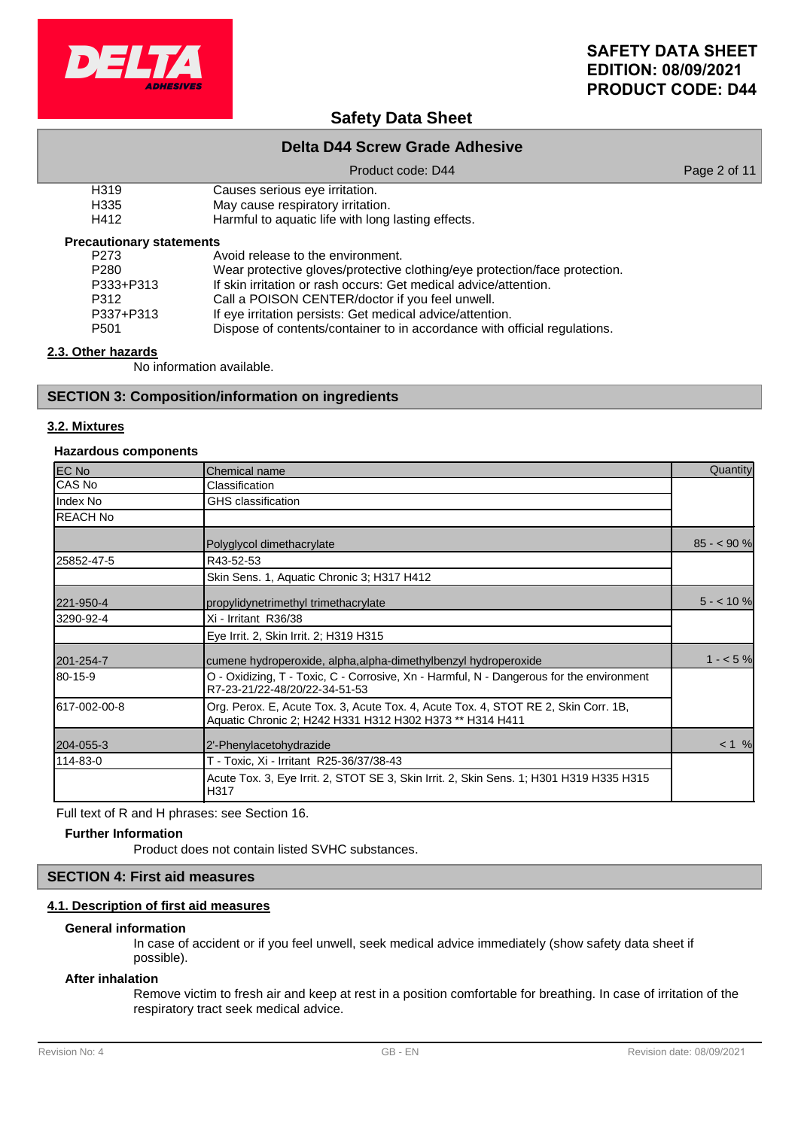

# **Safety Data Sheet**

### **Delta D44 Screw Grade Adhesive**

#### Product code: D44 Product code: D44 Page 2 of 11

| H319       | Causes serious eye irritation. |
|------------|--------------------------------|
| $\sqrt{2}$ |                                |

H335 May cause respiratory irritation.<br>H412 Harmful to aquatic life with long

Harmful to aquatic life with long lasting effects.

### **Precautionary statements**

| P273             | Avoid release to the environment.                                          |
|------------------|----------------------------------------------------------------------------|
| P <sub>280</sub> | Wear protective gloves/protective clothing/eye protection/face protection. |
| P333+P313        | If skin irritation or rash occurs: Get medical advice/attention.           |
| P312             | Call a POISON CENTER/doctor if you feel unwell.                            |
| P337+P313        | If eye irritation persists: Get medical advice/attention.                  |
| P <sub>501</sub> | Dispose of contents/container to in accordance with official regulations.  |

### **2.3. Other hazards**

No information available.

### **SECTION 3: Composition/information on ingredients**

### **3.2. Mixtures**

### **Hazardous components**

| EC No           | Chemical name                                                                                                                                  | Quantity    |
|-----------------|------------------------------------------------------------------------------------------------------------------------------------------------|-------------|
| CAS No          | Classification                                                                                                                                 |             |
| Index No        | GHS classification                                                                                                                             |             |
| <b>REACH No</b> |                                                                                                                                                |             |
|                 | Polyglycol dimethacrylate                                                                                                                      | $85 - 90 %$ |
| 25852-47-5      | R43-52-53                                                                                                                                      |             |
|                 | Skin Sens. 1, Aquatic Chronic 3; H317 H412                                                                                                     |             |
| 221-950-4       | propylidynetrimethyl trimethacrylate                                                                                                           | $5 - 10%$   |
| 3290-92-4       | Xi - Irritant R36/38                                                                                                                           |             |
|                 | Eye Irrit. 2, Skin Irrit. 2; H319 H315                                                                                                         |             |
| 201-254-7       | cumene hydroperoxide, alpha, alpha-dimethylbenzyl hydroperoxide                                                                                | $1 - 5%$    |
| 80-15-9         | O - Oxidizing, T - Toxic, C - Corrosive, Xn - Harmful, N - Dangerous for the environment<br>R7-23-21/22-48/20/22-34-51-53                      |             |
| 617-002-00-8    | Org. Perox. E, Acute Tox. 3, Acute Tox. 4, Acute Tox. 4, STOT RE 2, Skin Corr. 1B,<br>Aquatic Chronic 2; H242 H331 H312 H302 H373 ** H314 H411 |             |
| 204-055-3       | 2'-Phenylacetohydrazide                                                                                                                        | < 1 %       |
| 114-83-0        | T - Toxic, Xi - Irritant R25-36/37/38-43                                                                                                       |             |
|                 | Acute Tox. 3, Eye Irrit. 2, STOT SE 3, Skin Irrit. 2, Skin Sens. 1; H301 H319 H335 H315<br>H317                                                |             |

Full text of R and H phrases: see Section 16.

#### **Further Information**

Product does not contain listed SVHC substances.

### **SECTION 4: First aid measures**

### **4.1. Description of first aid measures**

#### **General information**

In case of accident or if you feel unwell, seek medical advice immediately (show safety data sheet if possible).

#### **After inhalation**

Remove victim to fresh air and keep at rest in a position comfortable for breathing. In case of irritation of the respiratory tract seek medical advice.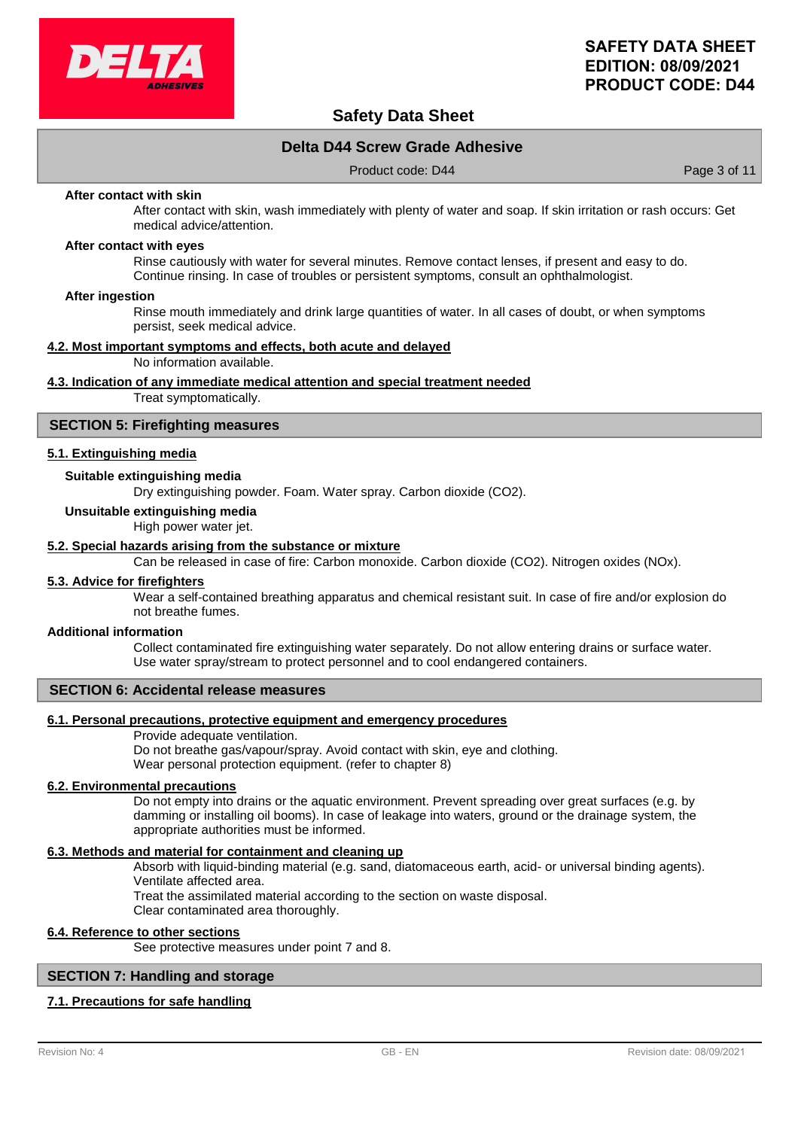

# **Safety Data Sheet**

### **Delta D44 Screw Grade Adhesive**

Product code: D44 Product code: D44 Page 3 of 11

#### **After contact with skin**

After contact with skin, wash immediately with plenty of water and soap. If skin irritation or rash occurs: Get medical advice/attention.

#### **After contact with eyes**

Rinse cautiously with water for several minutes. Remove contact lenses, if present and easy to do. Continue rinsing. In case of troubles or persistent symptoms, consult an ophthalmologist.

#### **After ingestion**

Rinse mouth immediately and drink large quantities of water. In all cases of doubt, or when symptoms persist, seek medical advice.

#### **4.2. Most important symptoms and effects, both acute and delayed**

No information available.

#### **4.3. Indication of any immediate medical attention and special treatment needed**

Treat symptomatically.

#### **SECTION 5: Firefighting measures**

#### **5.1. Extinguishing media**

### **Suitable extinguishing media**

Dry extinguishing powder. Foam. Water spray. Carbon dioxide (CO2).

#### **Unsuitable extinguishing media**

High power water jet.

#### **5.2. Special hazards arising from the substance or mixture**

Can be released in case of fire: Carbon monoxide. Carbon dioxide (CO2). Nitrogen oxides (NOx).

#### **5.3. Advice for firefighters**

Wear a self-contained breathing apparatus and chemical resistant suit. In case of fire and/or explosion do not breathe fumes.

#### **Additional information**

Collect contaminated fire extinguishing water separately. Do not allow entering drains or surface water. Use water spray/stream to protect personnel and to cool endangered containers.

#### **SECTION 6: Accidental release measures**

#### **6.1. Personal precautions, protective equipment and emergency procedures**

Provide adequate ventilation.

Do not breathe gas/vapour/spray. Avoid contact with skin, eye and clothing. Wear personal protection equipment. (refer to chapter 8)

#### **6.2. Environmental precautions**

Do not empty into drains or the aquatic environment. Prevent spreading over great surfaces (e.g. by damming or installing oil booms). In case of leakage into waters, ground or the drainage system, the appropriate authorities must be informed.

#### **6.3. Methods and material for containment and cleaning up**

Absorb with liquid-binding material (e.g. sand, diatomaceous earth, acid- or universal binding agents). Ventilate affected area.

Treat the assimilated material according to the section on waste disposal.

Clear contaminated area thoroughly.

#### **6.4. Reference to other sections**

See protective measures under point 7 and 8.

### **SECTION 7: Handling and storage**

#### **7.1. Precautions for safe handling**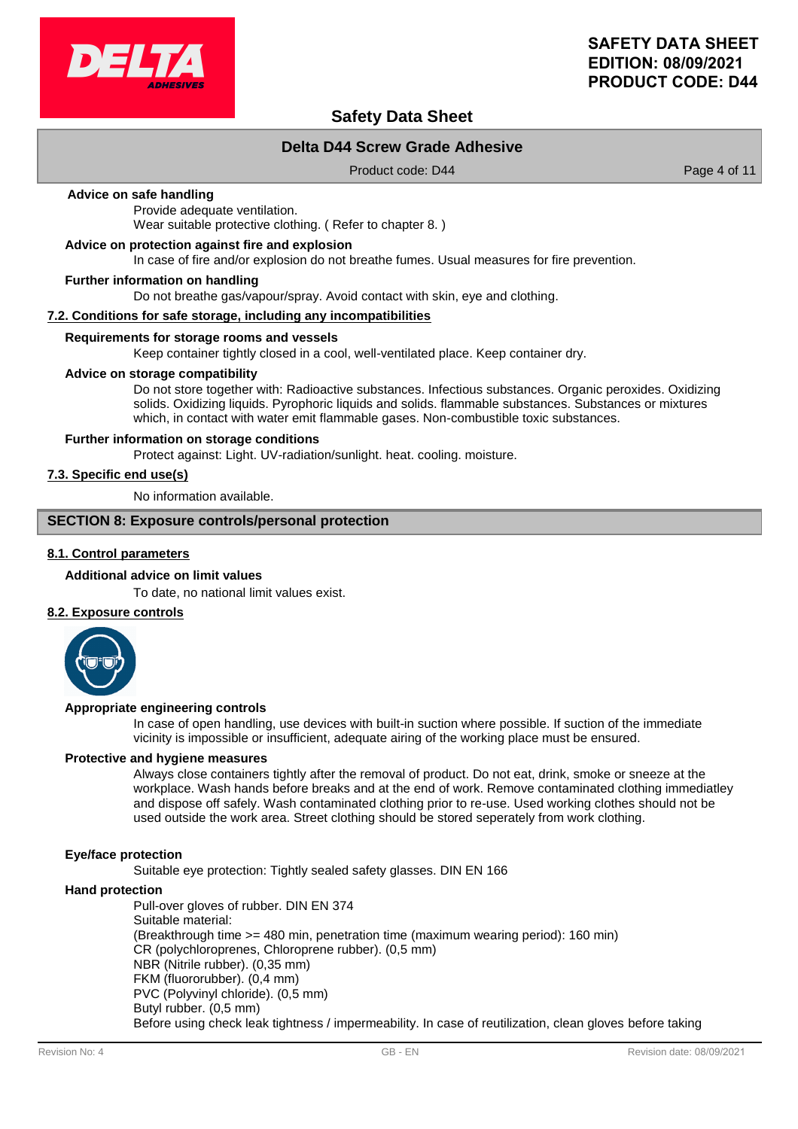

# **Safety Data Sheet**

### **Delta D44 Screw Grade Adhesive**

Product code: D44 Product code: D44 Page 4 of 11

#### **Advice on safe handling**

Provide adequate ventilation. Wear suitable protective clothing. ( Refer to chapter 8. )

#### **Advice on protection against fire and explosion**

In case of fire and/or explosion do not breathe fumes. Usual measures for fire prevention.

#### **Further information on handling**

Do not breathe gas/vapour/spray. Avoid contact with skin, eye and clothing.

#### **7.2. Conditions for safe storage, including any incompatibilities**

#### **Requirements for storage rooms and vessels**

Keep container tightly closed in a cool, well-ventilated place. Keep container dry.

#### **Advice on storage compatibility**

Do not store together with: Radioactive substances. Infectious substances. Organic peroxides. Oxidizing solids. Oxidizing liquids. Pyrophoric liquids and solids. flammable substances. Substances or mixtures which, in contact with water emit flammable gases. Non-combustible toxic substances.

#### **Further information on storage conditions**

Protect against: Light. UV-radiation/sunlight. heat. cooling. moisture.

### **7.3. Specific end use(s)**

No information available.

### **SECTION 8: Exposure controls/personal protection**

### **8.1. Control parameters**

#### **Additional advice on limit values**

To date, no national limit values exist.

### **8.2. Exposure controls**



#### **Appropriate engineering controls**

In case of open handling, use devices with built-in suction where possible. If suction of the immediate vicinity is impossible or insufficient, adequate airing of the working place must be ensured.

#### **Protective and hygiene measures**

Always close containers tightly after the removal of product. Do not eat, drink, smoke or sneeze at the workplace. Wash hands before breaks and at the end of work. Remove contaminated clothing immediatley and dispose off safely. Wash contaminated clothing prior to re-use. Used working clothes should not be used outside the work area. Street clothing should be stored seperately from work clothing.

#### **Eye/face protection**

Suitable eye protection: Tightly sealed safety glasses. DIN EN 166

#### **Hand protection**

Pull-over gloves of rubber. DIN EN 374 Suitable material: (Breakthrough time >= 480 min, penetration time (maximum wearing period): 160 min) CR (polychloroprenes, Chloroprene rubber). (0,5 mm) NBR (Nitrile rubber). (0,35 mm) FKM (fluororubber). (0,4 mm) PVC (Polyvinyl chloride). (0,5 mm) Butyl rubber. (0,5 mm) Before using check leak tightness / impermeability. In case of reutilization, clean gloves before taking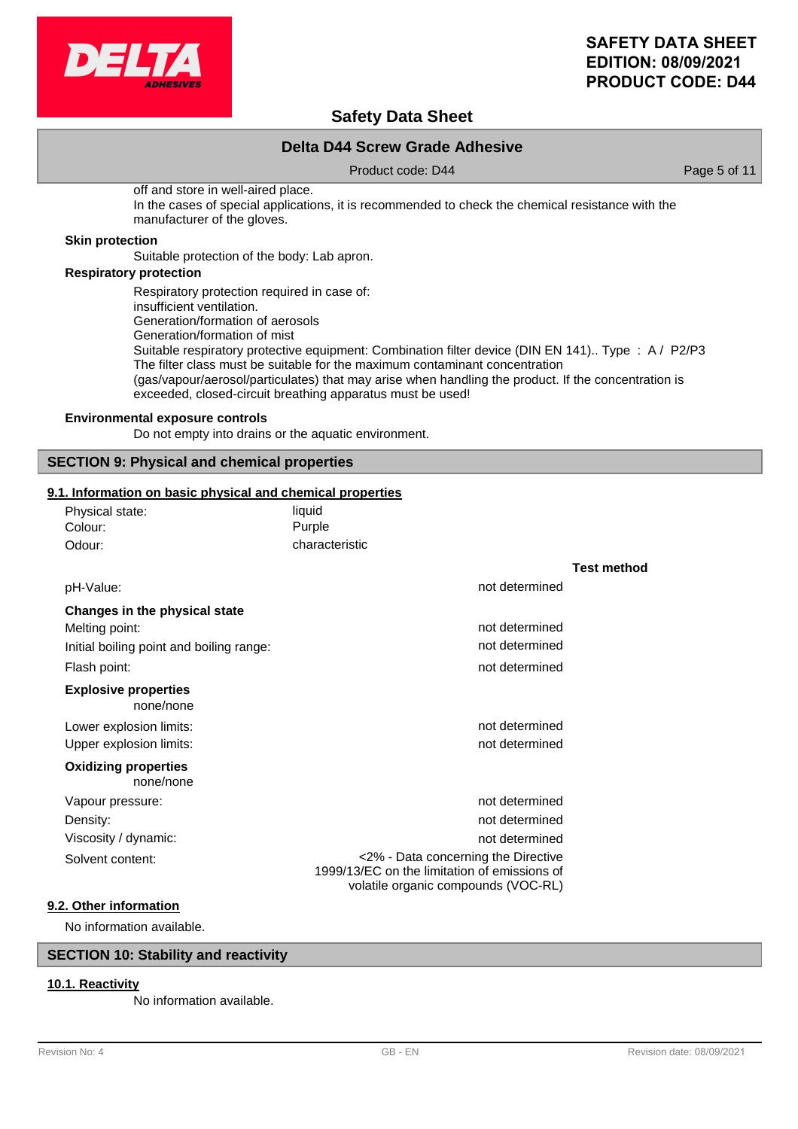

# **Safety Data Sheet**

### **Delta D44 Screw Grade Adhesive**

Product code: D44 Product code: D44 Page 5 of 11

off and store in well-aired place. In the cases of special applications, it is recommended to check the chemical resistance with the manufacturer of the gloves.

#### **Skin protection**

Suitable protection of the body: Lab apron.

### **Respiratory protection**

Respiratory protection required in case of: insufficient ventilation. Generation/formation of aerosols Generation/formation of mist Suitable respiratory protective equipment: Combination filter device (DIN EN 141).. Type : A / P2/P3 The filter class must be suitable for the maximum contaminant concentration (gas/vapour/aerosol/particulates) that may arise when handling the product. If the concentration is exceeded, closed-circuit breathing apparatus must be used!

#### **Environmental exposure controls**

Do not empty into drains or the aquatic environment.

### **SECTION 9: Physical and chemical properties**

#### **9.1. Information on basic physical and chemical properties**

| Physical state: | liauid         |
|-----------------|----------------|
| Colour:         | Purple         |
| Odour:          | characteristic |

|                                          |                                                                                                                            | <b>Test method</b> |
|------------------------------------------|----------------------------------------------------------------------------------------------------------------------------|--------------------|
| pH-Value:                                | not determined                                                                                                             |                    |
| Changes in the physical state            |                                                                                                                            |                    |
| Melting point:                           | not determined                                                                                                             |                    |
| Initial boiling point and boiling range: | not determined                                                                                                             |                    |
| Flash point:                             | not determined                                                                                                             |                    |
| <b>Explosive properties</b><br>none/none |                                                                                                                            |                    |
| Lower explosion limits:                  | not determined                                                                                                             |                    |
| Upper explosion limits:                  | not determined                                                                                                             |                    |
| <b>Oxidizing properties</b><br>none/none |                                                                                                                            |                    |
| Vapour pressure:                         | not determined                                                                                                             |                    |
| Density:                                 | not determined                                                                                                             |                    |
| Viscosity / dynamic:                     | not determined                                                                                                             |                    |
| Solvent content:                         | <2% - Data concerning the Directive<br>1999/13/EC on the limitation of emissions of<br>volatile organic compounds (VOC-RL) |                    |
| 9.2. Other information                   |                                                                                                                            |                    |

No information available.

### **SECTION 10: Stability and reactivity**

### **10.1. Reactivity**

No information available.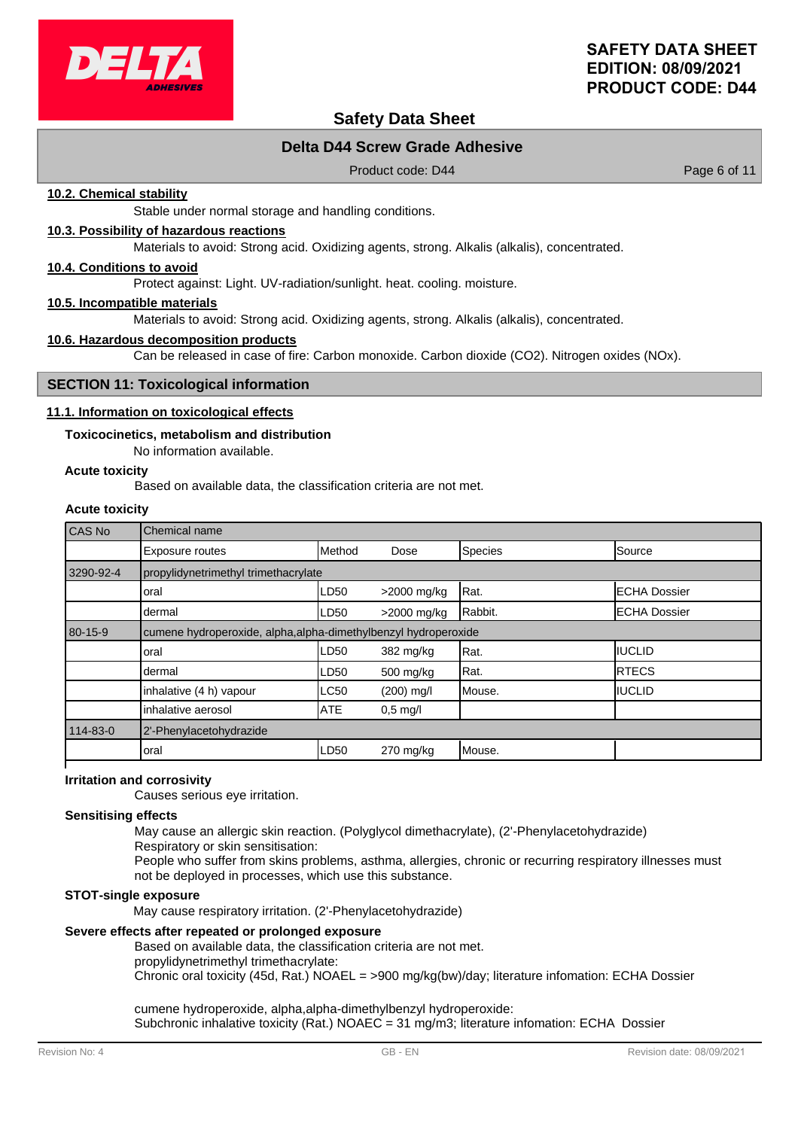

# **Safety Data Sheet**

### **Delta D44 Screw Grade Adhesive**

Product code: D44 Product code: D44 Page 6 of 11

### **10.2. Chemical stability**

Stable under normal storage and handling conditions.

#### **10.3. Possibility of hazardous reactions**

Materials to avoid: Strong acid. Oxidizing agents, strong. Alkalis (alkalis), concentrated.

#### **10.4. Conditions to avoid**

Protect against: Light. UV-radiation/sunlight. heat. cooling. moisture.

#### **10.5. Incompatible materials**

Materials to avoid: Strong acid. Oxidizing agents, strong. Alkalis (alkalis), concentrated.

#### **10.6. Hazardous decomposition products**

Can be released in case of fire: Carbon monoxide. Carbon dioxide (CO2). Nitrogen oxides (NOx).

#### **SECTION 11: Toxicological information**

#### **11.1. Information on toxicological effects**

#### **Toxicocinetics, metabolism and distribution**

No information available.

#### **Acute toxicity**

Based on available data, the classification criteria are not met.

# **Acute toxicity**

| CAS No    | Chemical name                                                   |            |              |         |                      |
|-----------|-----------------------------------------------------------------|------------|--------------|---------|----------------------|
|           | Exposure routes                                                 | Method     | Dose         | Species | Source               |
| 3290-92-4 | propylidynetrimethyl trimethacrylate                            |            |              |         |                      |
|           | oral                                                            | LD50       | >2000 mg/kg  | Rat.    | <b>IECHA Dossier</b> |
|           | dermal                                                          | LD50       | >2000 mg/kg  | Rabbit. | <b>ECHA Dossier</b>  |
| 80-15-9   | cumene hydroperoxide, alpha, alpha-dimethylbenzyl hydroperoxide |            |              |         |                      |
|           | oral                                                            | LD50       | 382 mg/kg    | Rat.    | <b>IIUCLID</b>       |
|           | dermal                                                          | LD50       | 500 mg/kg    | Rat.    | IRTECS               |
|           | inhalative (4 h) vapour                                         | LC50       | $(200)$ mg/l | Mouse.  | IIUCLID              |
|           | inhalative aerosol                                              | <b>ATE</b> | $0.5$ mg/l   |         |                      |
| 114-83-0  | 2'-Phenylacetohydrazide                                         |            |              |         |                      |
|           | oral                                                            | LD50       | $270$ mg/kg  | Mouse.  |                      |
|           |                                                                 |            |              |         |                      |

#### **Irritation and corrosivity**

Causes serious eye irritation.

#### **Sensitising effects**

May cause an allergic skin reaction. (Polyglycol dimethacrylate), (2'-Phenylacetohydrazide)

Respiratory or skin sensitisation:

People who suffer from skins problems, asthma, allergies, chronic or recurring respiratory illnesses must not be deployed in processes, which use this substance.

#### **STOT-single exposure**

May cause respiratory irritation. (2'-Phenylacetohydrazide)

### **Severe effects after repeated or prolonged exposure**

Based on available data, the classification criteria are not met. propylidynetrimethyl trimethacrylate:

Chronic oral toxicity (45d, Rat.) NOAEL = >900 mg/kg(bw)/day; literature infomation: ECHA Dossier

cumene hydroperoxide, alpha,alpha-dimethylbenzyl hydroperoxide: Subchronic inhalative toxicity (Rat.) NOAEC = 31 mg/m3; literature infomation: ECHA Dossier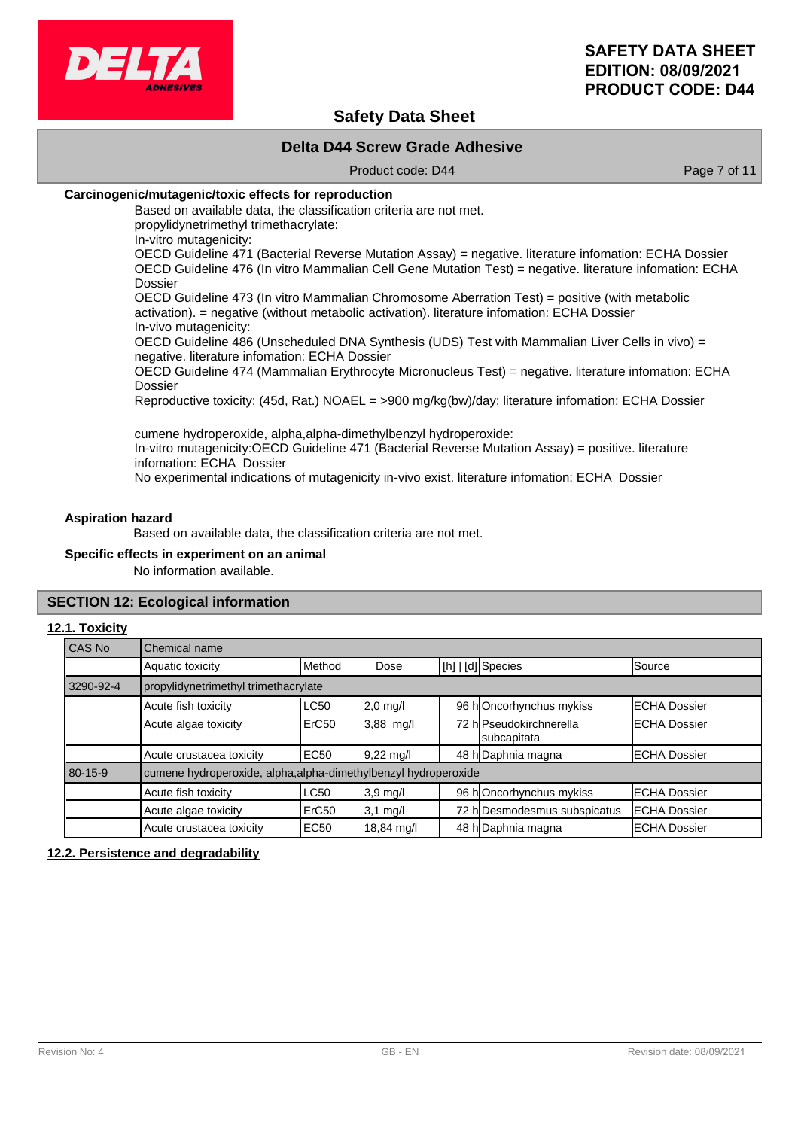

# **Safety Data Sheet**

### **Delta D44 Screw Grade Adhesive**

Product code: D44 Product code: D44 Page 7 of 11

### **Carcinogenic/mutagenic/toxic effects for reproduction**

Based on available data, the classification criteria are not met. propylidynetrimethyl trimethacrylate:

In-vitro mutagenicity:

OECD Guideline 471 (Bacterial Reverse Mutation Assay) = negative. literature infomation: ECHA Dossier OECD Guideline 476 (In vitro Mammalian Cell Gene Mutation Test) = negative. literature infomation: ECHA Dossier

OECD Guideline 473 (In vitro Mammalian Chromosome Aberration Test) = positive (with metabolic activation). = negative (without metabolic activation). literature infomation: ECHA Dossier In-vivo mutagenicity:

OECD Guideline 486 (Unscheduled DNA Synthesis (UDS) Test with Mammalian Liver Cells in vivo) = negative. literature infomation: ECHA Dossier

OECD Guideline 474 (Mammalian Erythrocyte Micronucleus Test) = negative. literature infomation: ECHA Dossier

Reproductive toxicity: (45d, Rat.) NOAEL = >900 mg/kg(bw)/day; literature infomation: ECHA Dossier

cumene hydroperoxide, alpha,alpha-dimethylbenzyl hydroperoxide: In-vitro mutagenicity:OECD Guideline 471 (Bacterial Reverse Mutation Assay) = positive. literature infomation: ECHA Dossier No experimental indications of mutagenicity in-vivo exist. literature infomation: ECHA Dossier

#### **Aspiration hazard**

Based on available data, the classification criteria are not met.

#### **Specific effects in experiment on an animal**

No information available.

#### **SECTION 12: Ecological information**

#### **12.1. Toxicity**

| l CAS No  | Chemical name                                                   |                                                                             |                     |  |                                        |                      |
|-----------|-----------------------------------------------------------------|-----------------------------------------------------------------------------|---------------------|--|----------------------------------------|----------------------|
|           | Aquatic toxicity                                                | Method                                                                      | Dose                |  | [h]   [d] Species                      | Source               |
| 3290-92-4 | propylidynetrimethyl trimethacrylate                            |                                                                             |                     |  |                                        |                      |
|           | Acute fish toxicity                                             | 96 hOncorhynchus mykiss<br><b>LC50</b><br><b>ECHA Dossier</b><br>$2,0$ mg/l |                     |  |                                        |                      |
|           | Acute algae toxicity                                            | ErC <sub>50</sub>                                                           | 3,88 mg/l           |  | 72 hlPseudokirchnerella<br>subcapitata | <b>ECHA Dossier</b>  |
|           | Acute crustacea toxicity                                        | <b>EC50</b>                                                                 | $9,22 \text{ mq/l}$ |  | 48 h Daphnia magna                     | <b>IECHA Dossier</b> |
| 80-15-9   | cumene hydroperoxide, alpha, alpha-dimethylbenzyl hydroperoxide |                                                                             |                     |  |                                        |                      |
|           | Acute fish toxicity                                             | <b>LC50</b>                                                                 | $3,9 \text{ mg/l}$  |  | 96 hOncorhynchus mykiss                | <b>ECHA Dossier</b>  |
|           | Acute algae toxicity                                            | ErC <sub>50</sub>                                                           | $3,1$ mg/l          |  | 72 h Desmodesmus subspicatus           | <b>ECHA Dossier</b>  |
|           | Acute crustacea toxicity                                        | <b>EC50</b>                                                                 | 18,84 mg/l          |  | 48 h Daphnia magna                     | <b>ECHA Dossier</b>  |

#### **12.2. Persistence and degradability**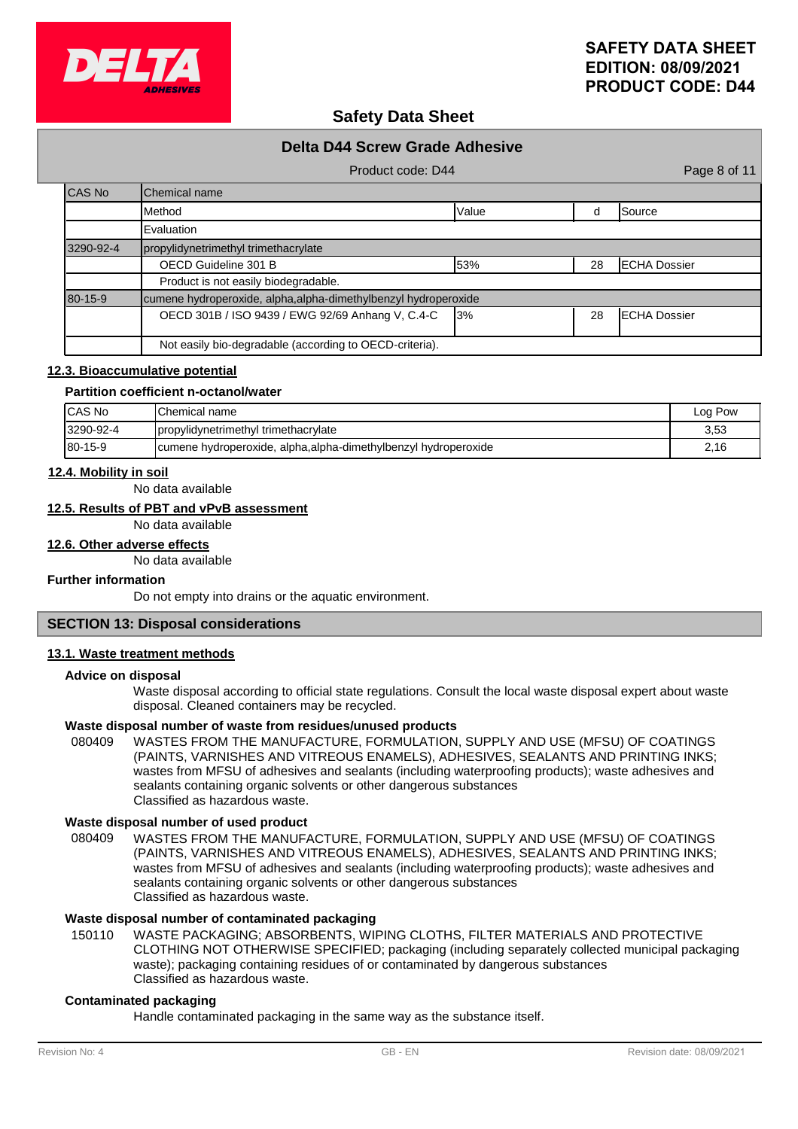

# **Safety Data Sheet**

|           | <b>Delta D44 Screw Grade Adhesive</b>                           |       |    |                      |
|-----------|-----------------------------------------------------------------|-------|----|----------------------|
|           | Product code: D44                                               |       |    | Page 8 of 11         |
| CAS No    | <b>I</b> Chemical name                                          |       |    |                      |
|           | <b>I</b> Method                                                 | Value | d  | Source               |
|           | Evaluation                                                      |       |    |                      |
| 3290-92-4 | propylidynetrimethyl trimethacrylate                            |       |    |                      |
|           | OECD Guideline 301 B                                            | 53%   | 28 | <b>IECHA Dossier</b> |
|           | Product is not easily biodegradable.                            |       |    |                      |
| 80-15-9   | cumene hydroperoxide, alpha, alpha-dimethylbenzyl hydroperoxide |       |    |                      |
|           | OECD 301B / ISO 9439 / EWG 92/69 Anhang V, C.4-C                | 13%   | 28 | <b>IECHA Dossier</b> |
|           | Not easily bio-degradable (according to OECD-criteria).         |       |    |                      |

#### **12.3. Bioaccumulative potential**

#### **Partition coefficient n-octanol/water**

| ICAS No        | <b>IChemical name</b>                                           | Log Pow |
|----------------|-----------------------------------------------------------------|---------|
| 3290-92-4      | propylidynetrimethyl trimethacrylate                            | 3,53    |
| $180 - 15 - 9$ | cumene hydroperoxide, alpha, alpha-dimethylbenzyl hydroperoxide | 2,16    |

#### **12.4. Mobility in soil**

No data available

### **12.5. Results of PBT and vPvB assessment**

No data available

### **12.6. Other adverse effects**

No data available

#### **Further information**

Do not empty into drains or the aquatic environment.

### **SECTION 13: Disposal considerations**

#### **13.1. Waste treatment methods**

#### **Advice on disposal**

Waste disposal according to official state regulations. Consult the local waste disposal expert about waste disposal. Cleaned containers may be recycled.

#### **Waste disposal number of waste from residues/unused products**

080409 WASTES FROM THE MANUFACTURE, FORMULATION, SUPPLY AND USE (MFSU) OF COATINGS (PAINTS, VARNISHES AND VITREOUS ENAMELS), ADHESIVES, SEALANTS AND PRINTING INKS; wastes from MFSU of adhesives and sealants (including waterproofing products); waste adhesives and sealants containing organic solvents or other dangerous substances Classified as hazardous waste.

#### **Waste disposal number of used product**

WASTES FROM THE MANUFACTURE, FORMULATION, SUPPLY AND USE (MFSU) OF COATINGS (PAINTS, VARNISHES AND VITREOUS ENAMELS), ADHESIVES, SEALANTS AND PRINTING INKS; wastes from MFSU of adhesives and sealants (including waterproofing products); waste adhesives and sealants containing organic solvents or other dangerous substances Classified as hazardous waste. 080409

### **Waste disposal number of contaminated packaging**

WASTE PACKAGING; ABSORBENTS, WIPING CLOTHS, FILTER MATERIALS AND PROTECTIVE CLOTHING NOT OTHERWISE SPECIFIED; packaging (including separately collected municipal packaging waste); packaging containing residues of or contaminated by dangerous substances Classified as hazardous waste. 150110

#### **Contaminated packaging**

Handle contaminated packaging in the same way as the substance itself.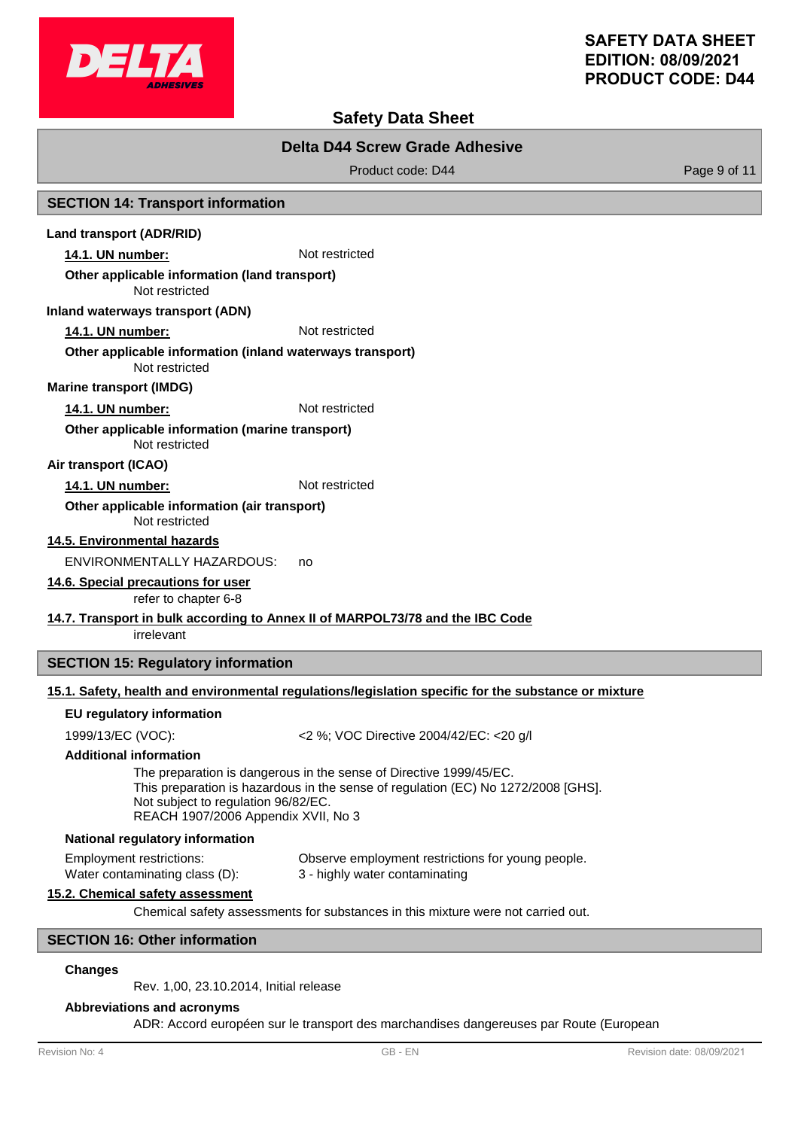

# **Safety Data Sheet**

### **Delta D44 Screw Grade Adhesive**

Product code: D44 Product code: D44 Page 9 of 11

#### **SECTION 14: Transport information**

#### **Land transport (ADR/RID)**

**14.1. UN number:** Not restricted

#### **Other applicable information (land transport)**

Not restricted

#### **Inland waterways transport (ADN)**

**14.1. UN number:** Not restricted

#### Not restricted **Other applicable information (inland waterways transport)**

**Marine transport (IMDG)**

### **14.1. UN number:** Not restricted

Not restricted **Other applicable information (marine transport)**

#### **Air transport (ICAO)**

#### 14.1. UN number: Not restricted

#### Not restricted **Other applicable information (air transport)**

**14.5. Environmental hazards**

ENVIRONMENTALLY HAZARDOUS: no

### **14.6. Special precautions for user**

refer to chapter 6-8

### **14.7. Transport in bulk according to Annex II of MARPOL73/78 and the IBC Code**

irrelevant

### **SECTION 15: Regulatory information**

### **15.1. Safety, health and environmental regulations/legislation specific for the substance or mixture**

#### **EU regulatory information**

1999/13/EC (VOC): <2 %; VOC Directive 2004/42/EC: <20 g/l

#### **Additional information**

The preparation is dangerous in the sense of Directive 1999/45/EC. This preparation is hazardous in the sense of regulation (EC) No 1272/2008 [GHS]. Not subject to regulation 96/82/EC. REACH 1907/2006 Appendix XVII, No 3

#### **National regulatory information**

Employment restrictions: Observe employment restrictions for young people. Water contaminating class (D): 3 - highly water contaminating

#### **15.2. Chemical safety assessment**

Chemical safety assessments for substances in this mixture were not carried out.

#### **SECTION 16: Other information**

#### **Changes**

Rev. 1,00, 23.10.2014, Initial release

### **Abbreviations and acronyms**

ADR: Accord européen sur le transport des marchandises dangereuses par Route (European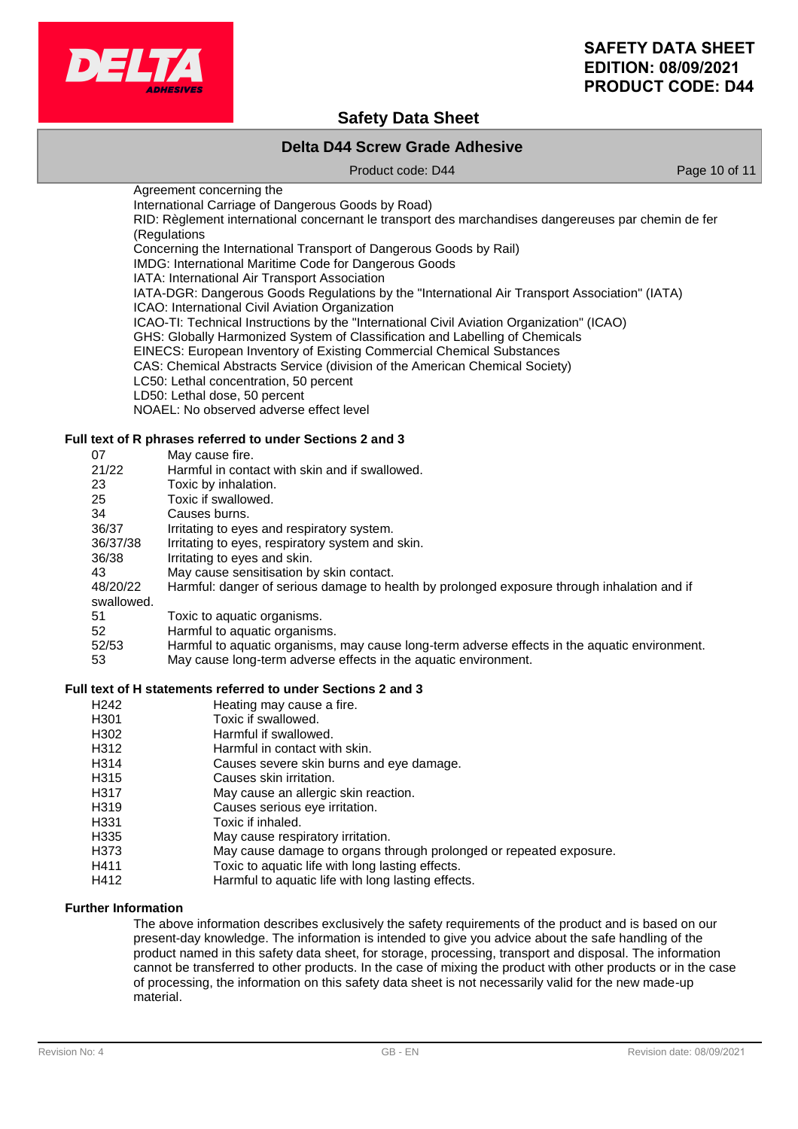

# **Safety Data Sheet**

### **Delta D44 Screw Grade Adhesive**

Product code: D44 Product code: D44 Page 10 of 11

Agreement concerning the

International Carriage of Dangerous Goods by Road)

RID: Règlement international concernant le transport des marchandises dangereuses par chemin de fer (Regulations

Concerning the International Transport of Dangerous Goods by Rail)

IMDG: International Maritime Code for Dangerous Goods

IATA: International Air Transport Association

IATA-DGR: Dangerous Goods Regulations by the "International Air Transport Association" (IATA) ICAO: International Civil Aviation Organization

ICAO-TI: Technical Instructions by the "International Civil Aviation Organization" (ICAO)

GHS: Globally Harmonized System of Classification and Labelling of Chemicals

EINECS: European Inventory of Existing Commercial Chemical Substances

CAS: Chemical Abstracts Service (division of the American Chemical Society)

LC50: Lethal concentration, 50 percent

LD50: Lethal dose, 50 percent

NOAEL: No observed adverse effect level

#### **Full text of R phrases referred to under Sections 2 and 3**

| 07         | May cause fire.                                                                               |
|------------|-----------------------------------------------------------------------------------------------|
| 21/22      | Harmful in contact with skin and if swallowed.                                                |
| 23         | Toxic by inhalation.                                                                          |
| 25         | Toxic if swallowed.                                                                           |
| 34         | Causes burns.                                                                                 |
| 36/37      | Irritating to eyes and respiratory system.                                                    |
| 36/37/38   | Irritating to eyes, respiratory system and skin.                                              |
| 36/38      | Irritating to eyes and skin.                                                                  |
| 43         | May cause sensitisation by skin contact.                                                      |
| 48/20/22   | Harmful: danger of serious damage to health by prolonged exposure through inhalation and if   |
| swallowed. |                                                                                               |
| 51         | Toxic to aquatic organisms.                                                                   |
| 52         | Harmful to aquatic organisms.                                                                 |
| 52/53      | Harmful to aquatic organisms, may cause long-term adverse effects in the aquatic environment. |
| 53         | May cause long-term adverse effects in the aquatic environment.                               |

#### **Full text of H statements referred to under Sections 2 and 3**

- H<sub>242</sub> Heating may cause a fire.
- H301 Toxic if swallowed.
- H302 Harmful if swallowed.
- H312 Harmful in contact with skin.
- H314 Causes severe skin burns and eye damage.
- H315 Causes skin irritation.
- H317 May cause an allergic skin reaction.
- H319 Causes serious eye irritation.<br>
H331 Toxic if inhaled.
- Toxic if inhaled.
- H335 May cause respiratory irritation.
- H373 May cause damage to organs through prolonged or repeated exposure.
- H411 Toxic to aquatic life with long lasting effects.
- H412 Harmful to aquatic life with long lasting effects.

### **Further Information**

The above information describes exclusively the safety requirements of the product and is based on our present-day knowledge. The information is intended to give you advice about the safe handling of the product named in this safety data sheet, for storage, processing, transport and disposal. The information cannot be transferred to other products. In the case of mixing the product with other products or in the case of processing, the information on this safety data sheet is not necessarily valid for the new made-up material.